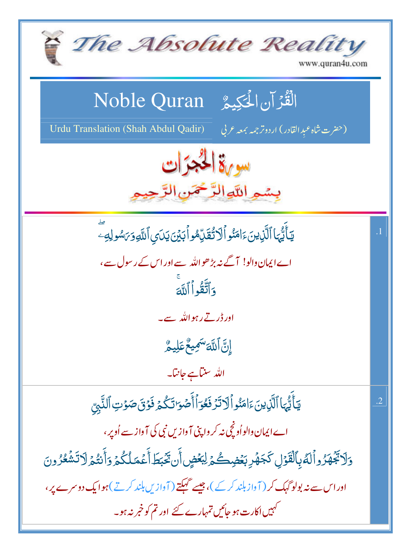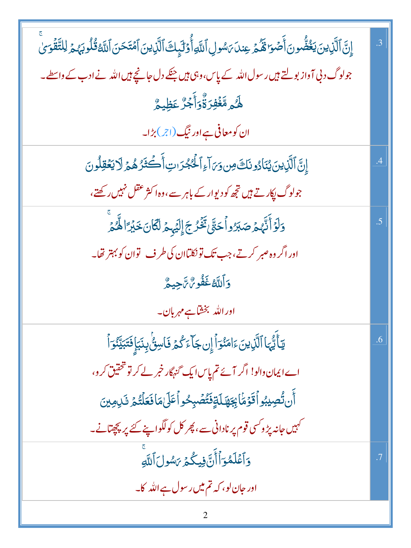| إِنَّ ٱلَّذِينَ يَغُضُّونَ أَصۡوَا مَّكۡمَ عِندَىَ سُولِ ٱللَّهِ أُوۡلَٰٓئِكَ ٱلَّذِينَ ٱمۡتَحَنَ ٱللَّهُ قُلُوبَهُمۡ لِلتَّقۡوَىٰ | .3        |
|------------------------------------------------------------------------------------------------------------------------------------|-----------|
| جولوگ د بی آواز بولتے ہیں رسول اللہ کے پاس،وہی ہیں جنکے دل جانچے ہیں اللہ نے ادب کے واسطے۔                                         |           |
| ۿ <i>۠ۮ</i> ۄڡۜٞۼۘۘڣۯۏۜ۠ٞۏٲۚۼڒ۠؏ؘڟٟۑۄ۠                                                                                             |           |
| ان کو معافی ہے اور نیگ(اجر) بڑا۔                                                                                                   |           |
| إِنَّ ٱلَّذِينَ يُنَادُونَكَ مِن وَىَ آءِ ٱلْحُجْرَاتِ أَكْثَرُهُمۡ لَا يَعۡقِلُونَ                                                | $\cdot^4$ |
| جولوگ پکار تے ہیں تجھ کو دیوار کے باہر سے،وہ اکثر عقل نہیں رکھتے،                                                                  |           |
| وَلَوۡ أَنَّهُمۡ صَبَرُواۡ حَتَّىٰ تَّخۡرُجَۚ إِلَيۡہِمۡ لَّكَانَ خَبۡرَ ۚ الْمُّمۡرِ                                              | .5        |
| اور اگر وہ صبر کرتے،جب تک تونکلتاان کی طرف لقوان کو بہتر تھا۔                                                                      |           |
| <b>وَٱللَّهُ غَفُوسٌ تَآجِيعٌ</b>                                                                                                  |           |
| اور الله بخشاہے مہربان۔                                                                                                            |           |
| يٓ أَيُّهَا ٱلَّذِينَ ءَامَنُوٓ أَإِن جَآءَ كُمۡ فَاسِنُّ بِنَبَإٍ فَتَبَيِّنُوٓ أَ                                                | .6        |
| اے ایمان دالو! اگر آئے تم پاس ایک گنہگار خمر لے کر تو تحقیق کر و،                                                                  |           |
| أَن تُصِيبُو ٱقَوۡمَٰۤائِِجَهَلَةٍفَتُمۡسِحُواۡعَلَىٰمَافَعَلۡتُمۡ تَلِمِينَ                                                       |           |
| <sup>کہ</sup> ہیں جانہ پڑ و <sup>کس</sup> ی قوم پر نادانی سے، پھر کل کولگواپنے کئے پر <u>پچ</u> ھتانے۔                             |           |
| وَٱعۡلَمُوَٱأَنَّ فِيكُمۡ رَسُولَ ٱللَّهِ                                                                                          | .7        |
| اور جان لو، کہ تم میں رسول ہے اللہ کا۔                                                                                             |           |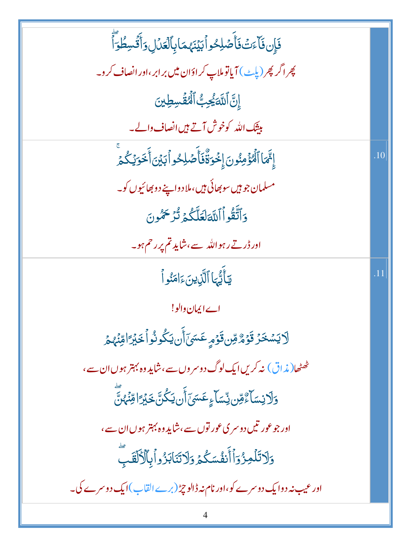| .10 |
|-----|
|     |
|     |
|     |
| .11 |
|     |
|     |
|     |
|     |
|     |
|     |
|     |
|     |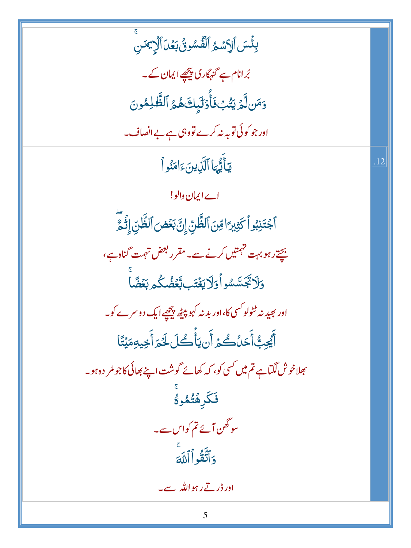بِئۡسَ ٱلِٱسۡمُ ٱلۡفُسُونُ بَعۡلَ ٱلۡإِيۡسَ بُرانام ہے گنہگاری پیچھے ایمان کے۔ وَمَن لَّمَ يَتُّبُ فَأُوۡلَٰٓبِكَ هُمُ ٱلظَّلِمُونَ اور جو کوئی توبہ نہ کرے تووہی ہے بے انصاف۔ يَأَيُّهَا ٱلَّذِينَءَامَنُواْ .12 اے ایمان والو! ٱجۡتَنِبُواۡ كَثِيرِ ۗ اقِنَ ٱلظَّنِّ إِنَّ بَعۡضَ ٱلظَّنِّ إِثۡمَّ بچتے رہو بہت تہمتیں کرنے سے۔مقرر بعض تہمت گناہ ہے، وَلَاتَجَسَّسُواْوَلَايَغْتَبِ تَعَضُّكُمِ بَعْضًا اور بھید نہ ٹٹولو<sup>کس</sup>ی کا،اور بد نہ کہو پی<sub>ٹھ</sub> پیچھے ایک دوسرے کو۔ أَيُّحِبُّ أَحَلُكُمۡ أَن يَأۡكُلۡ لَخَمَ أَخِيهِ مَيۡتًا بھلاخوش لگتاہے تم میں کسی کو، کہ کھائے گوشت اپنے بھائی کاجو مُر دہ ہو۔ فَكَرِهۡتُمُوءُ سوگھن آئے تم کواس سے۔ وَأَتَّقُواْ أَلَلَّهَ ادر ڈر تے رہواللہ سے۔ 5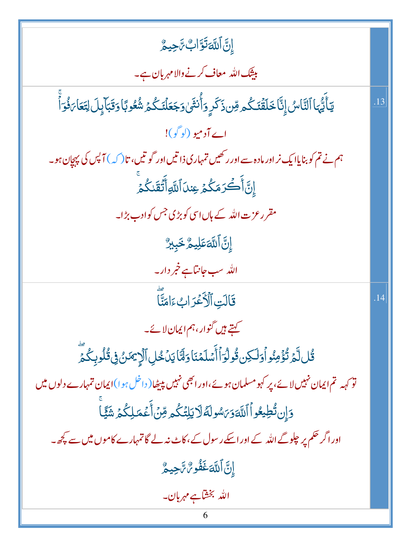$$
\frac{1}{2} \int_{\frac{\pi}{2}}^{\frac{\pi}{2}} \frac{1}{2} \int_{\frac{\pi}{2}}^{\frac{\pi}{2}} \frac{1}{2} \int_{\frac{\pi}{2}}^{\frac{\pi}{2}} \frac{1}{2} \int_{\frac{\pi}{2}}^{\frac{\pi}{2}} \frac{1}{2} \int_{\frac{\pi}{2}}^{\frac{\pi}{2}} \frac{1}{2} \int_{\frac{\pi}{2}}^{\frac{\pi}{2}} \frac{1}{2} \int_{\frac{\pi}{2}}^{\frac{\pi}{2}} \frac{1}{2} \int_{\frac{\pi}{2}}^{\frac{\pi}{2}} \frac{1}{2} \int_{\frac{\pi}{2}}^{\frac{\pi}{2}} \frac{1}{2} \int_{\frac{\pi}{2}}^{\frac{\pi}{2}} \frac{1}{2} \int_{\frac{\pi}{2}}^{\frac{\pi}{2}} \frac{1}{2} \int_{\frac{\pi}{2}}^{\frac{\pi}{2}} \frac{1}{2} \int_{\frac{\pi}{2}}^{\frac{\pi}{2}} \frac{1}{2} \int_{\frac{\pi}{2}}^{\frac{\pi}{2}} \frac{1}{2} \int_{\frac{\pi}{2}}^{\frac{\pi}{2}} \frac{1}{2} \int_{\frac{\pi}{2}}^{\frac{\pi}{2}} \frac{1}{2} \int_{\frac{\pi}{2}}^{\frac{\pi}{2}} \frac{1}{2} \int_{\frac{\pi}{2}}^{\frac{\pi}{2}} \frac{1}{2} \int_{\frac{\pi}{2}}^{\frac{\pi}{2}} \frac{1}{2} \int_{\frac{\pi}{2}}^{\frac{\pi}{2}} \frac{1}{2} \int_{\frac{\pi}{2}}^{\frac{\pi}{2}} \frac{1}{2} \int_{\frac{\pi}{2}}^{\frac{\pi}{2}} \frac{1}{2} \int_{\frac{\pi}{2}}^{\frac{\pi}{2}} \frac{1}{2} \int_{\frac{\pi}{2}}^{\frac{\pi}{2}} \frac{1}{2} \int_{\frac{\pi}{2}}^{\frac{\pi}{2}} \frac{1}{2} \int_{\frac{\pi}{2}}^{\frac{\pi}{2}} \frac{1}{2} \int_{\frac{\pi}{2}}^{\frac{\pi}{2}} \frac{1}{2} \int_{\frac{\pi}{2}}^{\frac{\pi}{2}} \frac{1}{2} \int_{\frac{\pi}{2}}^{\frac{\pi}{2}} \frac{1}{2} \int_{\frac{\pi}{2}}^{\frac{\pi}{2}} \frac{1}{2} \int
$$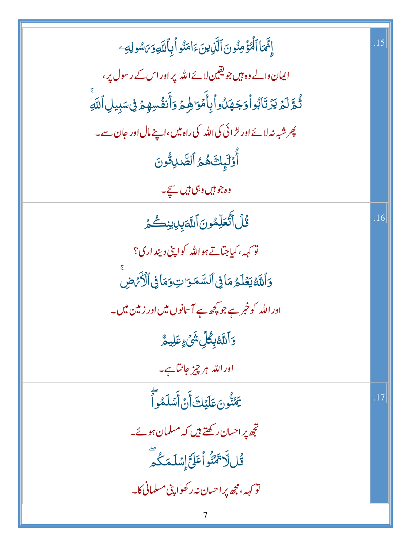| إِنَّمَا ٱلْمُؤْمِنُونَ ٱلََّذِينَ ءَامَنُو أَبِٱللَّهِ وَىَسُولِهِ ۖ             | .15 |
|-----------------------------------------------------------------------------------|-----|
| ایمان دالے وہ ہیں جو یقین لائے اللہ پر اور اس کے رسول پر ،                        |     |
| ثُمَّ لَمۡ يَرۡتَابُواۡوَجَهَلُواۡبِأَمۡوَٰٓطِهِمۡوَأَنفُسِهِمۡ فِىسَبِيلِٱللَّهِ |     |
| پھر شبہ نہ لائے اور لڑ ائی کی اللہ کی راہ میں،اپنے مال اور جان سے۔                |     |
| أُوۡلَٰٓبِكَ هُمُ ٱلصَّلِوُّونَ                                                   |     |
| وہ جو <del>ہ</del> یں وہی ہیں <del>ہی</del> ے۔                                    |     |
| <b>قُلُ أَتُعَلِّمُونَ ٱللَّهَ</b> بِلِالِنِصُّمَ                                 | .16 |
| نو <sub>کهه</sub> ، کیاجتاتے ہواللہ کواپ <mark>نی دینداری؟</mark>                 |     |
| وَٱللَّهُ يَعۡلَمُ مَاٰ فِى ٱلسَّمَوَاتِ وَمَاٰ فِى ٱلۡأَرۡمَضِ                   |     |
| اور اللہ کو خبر ہے جو پچھ ہے آس <mark>انوں میں اور زمین میں۔</mark>               |     |
| <b>ۯ</b> ٲڵڶۜڟڹؚڰؙڵؚۺ۬ <i>ؽ۫</i> ۦؚٟڡؘڶؚۑػ۠                                       |     |
| اوراللہ ہر چیز جانتاہے۔                                                           |     |
| <u>ڲ</u> ؇۠ٞۏڹؘڡؘڶؽڶڰٲٛڹ۩ؘؖۺڶۿۅٲؖ                                                 | .17 |
| ۔<br>تجھ پر احسان رکھتے ہیں کہ مسلمان ہوئے۔                                       |     |
| ڟؙ <sup>ۣ</sup> ڵٞۯ <sup>ؾ</sup> ۿڹۨ۠ۏٱٵؘ <i>ؾٙ</i> ٳۣۺڶڡؘڬ۠ڡؖ                    |     |
| .<br>نو <sub>کهه</sub> ه، مجھ پراحسان نه رکھوا پنی مسلمانی کا۔                    |     |
| 7                                                                                 |     |